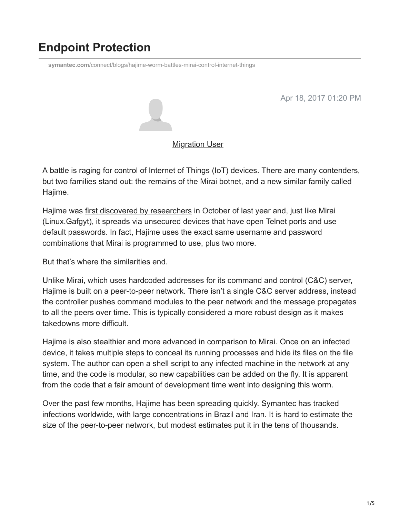# **Endpoint Protection**

**symantec.com**[/connect/blogs/hajime-worm-battles-mirai-control-internet-things](https://www.symantec.com/connect/blogs/hajime-worm-battles-mirai-control-internet-things)

Apr 18, 2017 01:20 PM



[Migration User](https://community.broadcom.com/symantecenterprise/network/members/profile?UserKey=909a8e41-f1e7-45af-914a-628128e3819f)

A battle is raging for control of Internet of Things (IoT) devices. There are many contenders, but two families stand out: the remains of the Mirai botnet, and a new similar family called Hajime.

Hajime was [first discovered by researchers](https://security.rapiditynetworks.com/publications/2016-10-16/hajime.pdf) in October of last year and, just like Mirai (Linux. Gafgyt), it spreads via unsecured devices that have open Telnet ports and use default passwords. In fact, Hajime uses the exact same username and password combinations that Mirai is programmed to use, plus two more.

But that's where the similarities end.

Unlike Mirai, which uses hardcoded addresses for its command and control (C&C) server, Hajime is built on a peer-to-peer network. There isn't a single C&C server address, instead the controller pushes command modules to the peer network and the message propagates to all the peers over time. This is typically considered a more robust design as it makes takedowns more difficult.

Hajime is also stealthier and more advanced in comparison to Mirai. Once on an infected device, it takes multiple steps to conceal its running processes and hide its files on the file system. The author can open a shell script to any infected machine in the network at any time, and the code is modular, so new capabilities can be added on the fly. It is apparent from the code that a fair amount of development time went into designing this worm.

Over the past few months, Hajime has been spreading quickly. Symantec has tracked infections worldwide, with large concentrations in Brazil and Iran. It is hard to estimate the size of the peer-to-peer network, but modest estimates put it in the tens of thousands.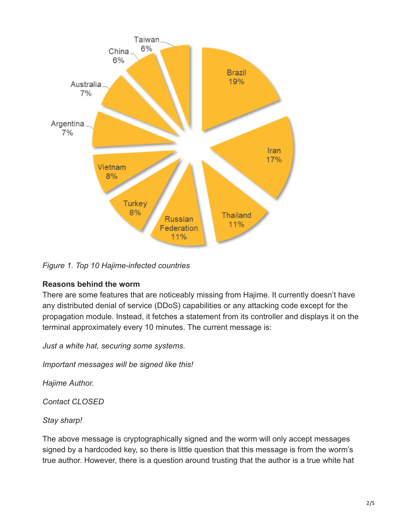

*Figure 1. Top 10 Hajime-infected countries*

#### **Reasons behind the worm**

There are some features that are noticeably missing from Hajime. It currently doesn't have any distributed denial of service (DDoS) capabilities or any attacking code except for the propagation module. Instead, it fetches a statement from its controller and displays it on the terminal approximately every 10 minutes. The current message is:

*Just a white hat, securing some systems.*

*Important messages will be signed like this!*

*Hajime Author.*

*Contact CLOSED*

*Stay sharp!*

The above message is cryptographically signed and the worm will only accept messages signed by a hardcoded key, so there is little question that this message is from the worm's true author. However, there is a question around trusting that the author is a true white hat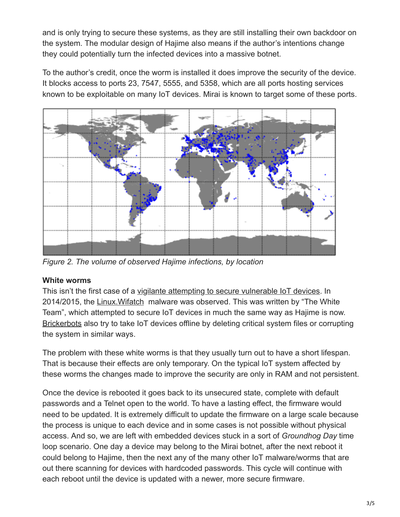and is only trying to secure these systems, as they are still installing their own backdoor on the system. The modular design of Hajime also means if the author's intentions change they could potentially turn the infected devices into a massive botnet.

To the author's credit, once the worm is installed it does improve the security of the device. It blocks access to ports 23, 7547, 5555, and 5358, which are all ports hosting services known to be exploitable on many IoT devices. Mirai is known to target some of these ports.



*Figure 2. The volume of observed Hajime infections, by location*

#### **White worms**

This isn't the first case of a [vigilante attempting to secure vulnerable IoT devices.](https://community.broadcom.com/symantecenterprise/viewdocument?DocumentKey=ef23b297-5cc6-4c4a-b2e7-ff41635965fe&CommunityKey=1ecf5f55-9545-44d6-b0f4-4e4a7f5f5e68&tab=librarydocuments) In 2014/2015, the [Linux.Wifatch](https://www.symantec.com/security_response/writeup.jsp?docid=2015-011216-2314-99) malware was observed. This was written by "The White Team", which attempted to secure IoT devices in much the same way as Hajime is now. [Brickerbots](https://arstechnica.com/security/2017/04/rash-of-in-the-wild-attacks-permanently-destroys-poorly-secured-iot-devices/) also try to take IoT devices offline by deleting critical system files or corrupting the system in similar ways.

The problem with these white worms is that they usually turn out to have a short lifespan. That is because their effects are only temporary. On the typical IoT system affected by these worms the changes made to improve the security are only in RAM and not persistent.

Once the device is rebooted it goes back to its unsecured state, complete with default passwords and a Telnet open to the world. To have a lasting effect, the firmware would need to be updated. It is extremely difficult to update the firmware on a large scale because the process is unique to each device and in some cases is not possible without physical access. And so, we are left with embedded devices stuck in a sort of *Groundhog Day* time loop scenario. One day a device may belong to the Mirai botnet, after the next reboot it could belong to Hajime, then the next any of the many other IoT malware/worms that are out there scanning for devices with hardcoded passwords. This cycle will continue with each reboot until the device is updated with a newer, more secure firmware.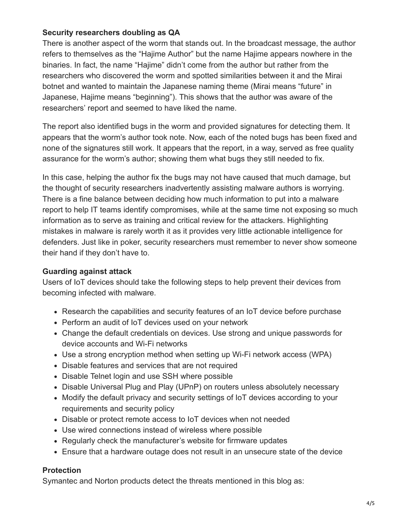#### **Security researchers doubling as QA**

There is another aspect of the worm that stands out. In the broadcast message, the author refers to themselves as the "Hajime Author" but the name Hajime appears nowhere in the binaries. In fact, the name "Hajime" didn't come from the author but rather from the researchers who discovered the worm and spotted similarities between it and the Mirai botnet and wanted to maintain the Japanese naming theme (Mirai means "future" in Japanese, Hajime means "beginning"). This shows that the author was aware of the researchers' report and seemed to have liked the name.

The report also identified bugs in the worm and provided signatures for detecting them. It appears that the worm's author took note. Now, each of the noted bugs has been fixed and none of the signatures still work. It appears that the report, in a way, served as free quality assurance for the worm's author; showing them what bugs they still needed to fix.

In this case, helping the author fix the bugs may not have caused that much damage, but the thought of security researchers inadvertently assisting malware authors is worrying. There is a fine balance between deciding how much information to put into a malware report to help IT teams identify compromises, while at the same time not exposing so much information as to serve as training and critical review for the attackers. Highlighting mistakes in malware is rarely worth it as it provides very little actionable intelligence for defenders. Just like in poker, security researchers must remember to never show someone their hand if they don't have to.

#### **Guarding against attack**

Users of IoT devices should take the following steps to help prevent their devices from becoming infected with malware.

- Research the capabilities and security features of an IoT device before purchase
- Perform an audit of IoT devices used on your network
- Change the default credentials on devices. Use strong and unique passwords for device accounts and Wi-Fi networks
- Use a strong encryption method when setting up Wi-Fi network access (WPA)
- Disable features and services that are not required
- Disable Telnet login and use SSH where possible
- Disable Universal Plug and Play (UPnP) on routers unless absolutely necessary
- Modify the default privacy and security settings of IoT devices according to your requirements and security policy
- Disable or protect remote access to IoT devices when not needed
- Use wired connections instead of wireless where possible
- Regularly check the manufacturer's website for firmware updates
- Ensure that a hardware outage does not result in an unsecure state of the device

### **Protection**

Symantec and Norton products detect the threats mentioned in this blog as: